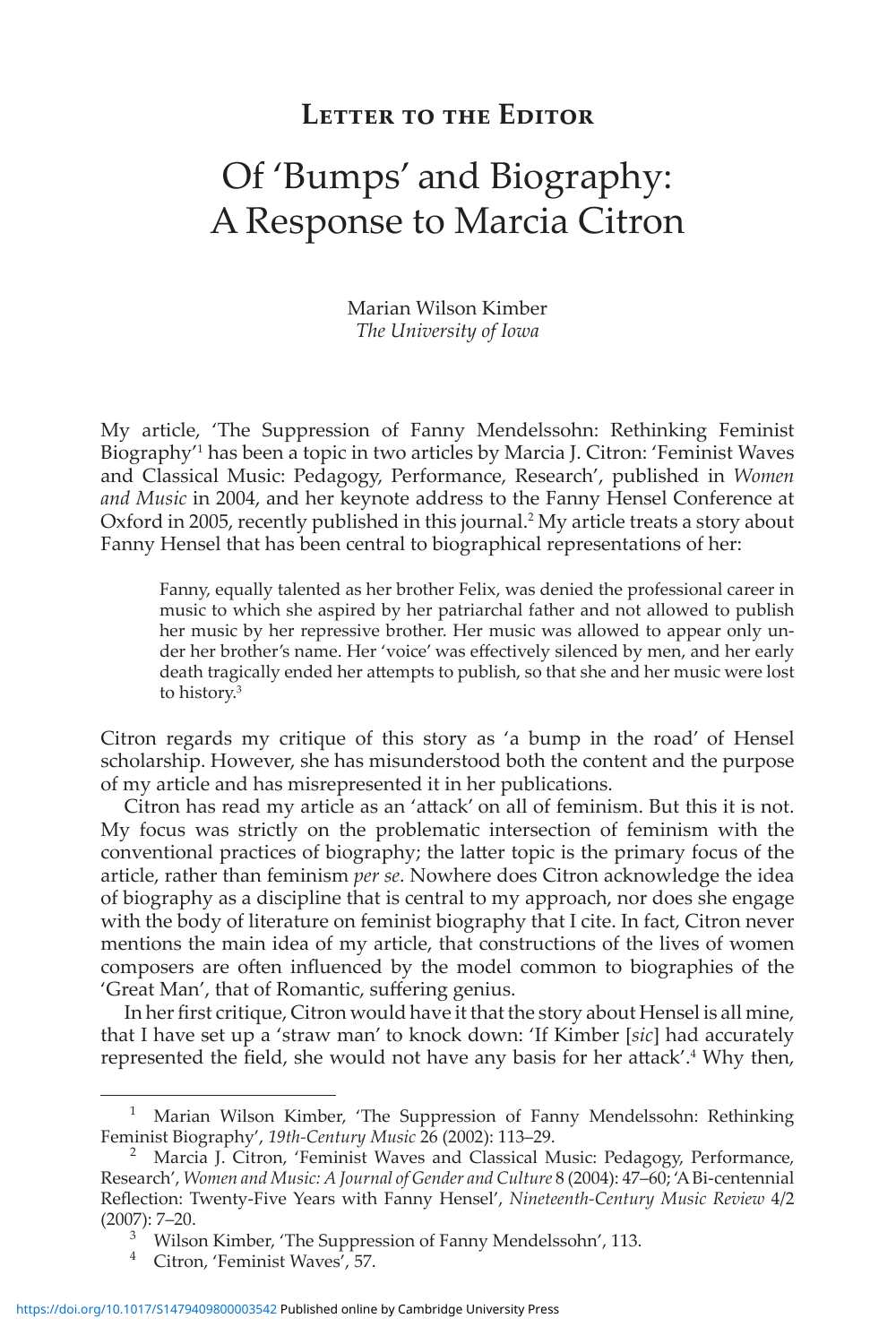## **Letter to the Editor**

## Of 'Bumps' and Biography: A Response to Marcia Citron

Marian Wilson Kimber *The University of Iowa*

My article, 'The Suppression of Fanny Mendelssohn: Rethinking Feminist Biography<sup>1</sup> has been a topic in two articles by Marcia J. Citron: 'Feminist Waves and Classical Music: Pedagogy, Performance, Research', published in *Women and Music* in 2004, and her keynote address to the Fanny Hensel Conference at Oxford in 2005, recently published in this journal.<sup>2</sup> My article treats a story about Fanny Hensel that has been central to biographical representations of her:

Fanny, equally talented as her brother Felix, was denied the professional career in music to which she aspired by her patriarchal father and not allowed to publish her music by her repressive brother. Her music was allowed to appear only under her brother's name. Her 'voice' was effectively silenced by men, and her early death tragically ended her attempts to publish, so that she and her music were lost to history.

Citron regards my critique of this story as 'a bump in the road' of Hensel scholarship. However, she has misunderstood both the content and the purpose of my article and has misrepresented it in her publications.

Citron has read my article as an 'attack' on all of feminism. But this it is not. My focus was strictly on the problematic intersection of feminism with the conventional practices of biography; the latter topic is the primary focus of the article, rather than feminism *per se*. Nowhere does Citron acknowledge the idea of biography as a discipline that is central to my approach, nor does she engage with the body of literature on feminist biography that I cite. In fact, Citron never mentions the main idea of my article, that constructions of the lives of women composers are often influenced by the model common to biographies of the 'Great Man', that of Romantic, suffering genius.

In her first critique, Citron would have it that the story about Hensel is all mine, that I have set up a 'straw man' to knock down: 'If Kimber [*sic*] had accurately represented the field, she would not have any basis for her attack'.<sup>4</sup> Why then,

Marian Wilson Kimber, 'The Suppression of Fanny Mendelssohn: Rethinking Feminist Biography', *19th-Century Music* 26 (2002): 113–29.

<sup>&</sup>lt;sup>2</sup> Marcia J. Citron, 'Feminist Waves and Classical Music: Pedagogy, Performance, Research', *Women and Music: A Journal of Gender and Culture* 8 (2004): 47–60; 'A Bi-centennial Reflection: Twenty-Five Years with Fanny Hensel', *Nineteenth-Century Music Review* 4/2 [\(2007\): 7–20.](https://doi.org/10.1017/S1479409800003542)

<sup>&</sup>lt;sup>3</sup> Wilson Kimber, 'The Suppression of Fanny Mendelssohn', 113.

Citron, 'Feminist Waves', 57.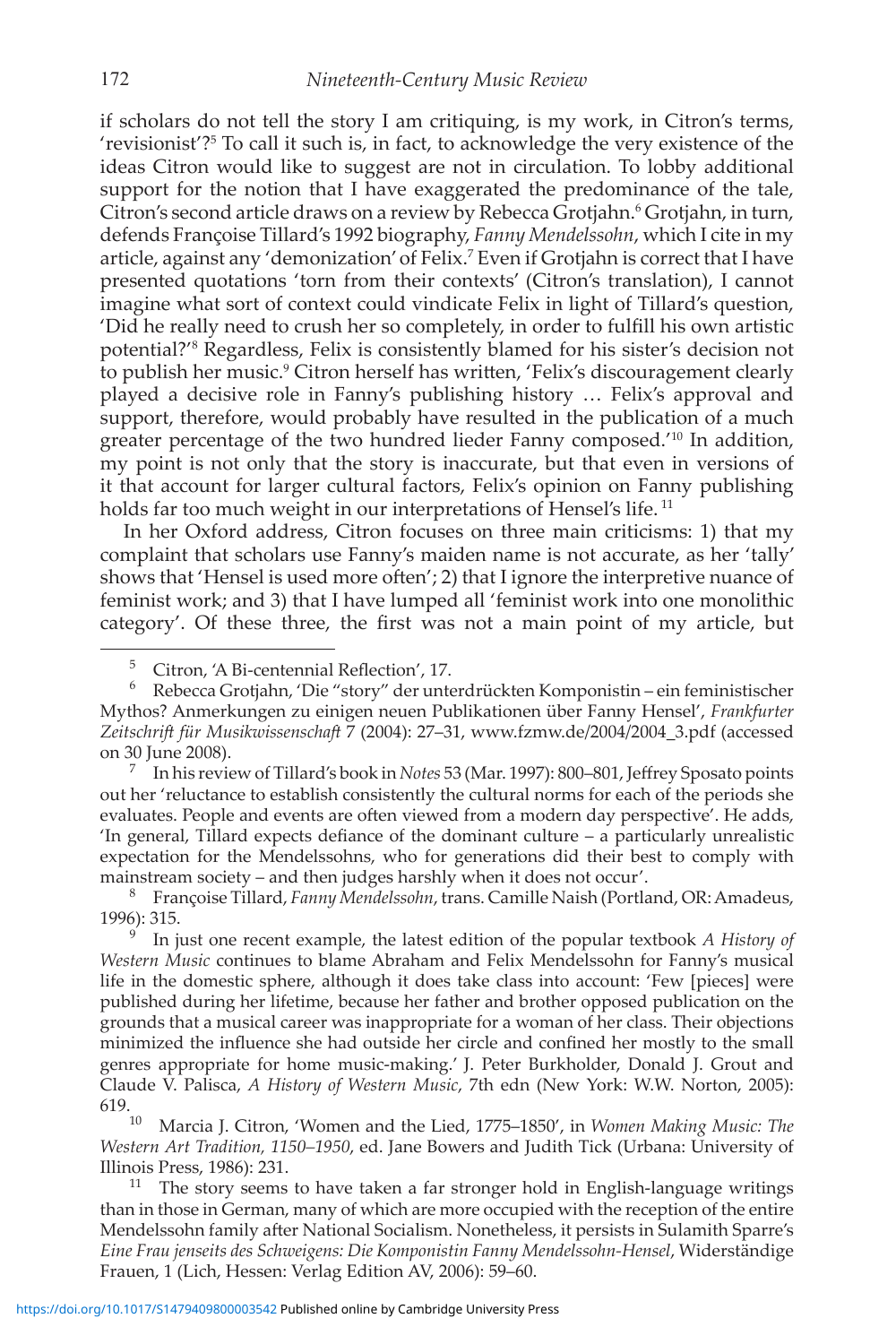if scholars do not tell the story I am critiquing, is my work, in Citron's terms, 'revisionist'? $5$  To call it such is, in fact, to acknowledge the very existence of the ideas Citron would like to suggest are not in circulation. To lobby additional support for the notion that I have exaggerated the predominance of the tale, Citron's second article draws on a review by Rebecca Grotjahn.<sup>6</sup> Grotjahn, in turn, defends Françoise Tillard's 1992 biography, *Fanny Mendelssohn*, which I cite in my article, against any 'demonization' of Felix.<sup>7</sup> Even if Grotjahn is correct that I have presented quotations 'torn from their contexts' (Citron's translation), I cannot imagine what sort of context could vindicate Felix in light of Tillard's question, 'Did he really need to crush her so completely, in order to fulfill his own artistic potential?'<sup>8</sup> Regardless, Felix is consistently blamed for his sister's decision not to publish her music.<sup>9</sup> Citron herself has written, 'Felix's discouragement clearly played a decisive role in Fanny's publishing history … Felix's approval and support, therefore, would probably have resulted in the publication of a much greater percentage of the two hundred lieder Fanny composed.'10 In addition, my point is not only that the story is inaccurate, but that even in versions of it that account for larger cultural factors, Felix's opinion on Fanny publishing holds far too much weight in our interpretations of Hensel's life.<sup>11</sup>

In her Oxford address, Citron focuses on three main criticisms: 1) that my complaint that scholars use Fanny's maiden name is not accurate, as her 'tally' shows that 'Hensel is used more often'; 2) that I ignore the interpretive nuance of feminist work; and 3) that I have lumped all 'feminist work into one monolithic category'. Of these three, the first was not a main point of my article, but

<sup>&</sup>lt;sup>5</sup> Citron, 'A Bi-centennial Reflection', 17.<br><sup>6</sup> Repecce Crotiabn, 'Die "story" der unte

Rebecca Grotjahn, 'Die "story" der unterdrückten Komponistin – ein feministischer Mythos? Anmerkungen zu einigen neuen Publikationen über Fanny Hensel', *Frankfurter Zeitschrift für Musikwissenschaft* 7 (2004): 27–31, www.fzmw.de/2004/2004\_3.pdf (accessed on 30 June 2008).

In his review of Tillard's book in *Notes* 53 (Mar. 1997): 800–801, Jeffrey Sposato points out her 'reluctance to establish consistently the cultural norms for each of the periods she evaluates. People and events are often viewed from a modern day perspective'. He adds, 'In general, Tillard expects defiance of the dominant culture – a particularly unrealistic expectation for the Mendelssohns, who for generations did their best to comply with mainstream society – and then judges harshly when it does not occur'.

Françoise Tillard, *Fanny Mendelssohn*, trans. Camille Naish (Portland, OR: Amadeus, 1996): 315.

In just one recent example, the latest edition of the popular textbook *A History of Western Music* continues to blame Abraham and Felix Mendelssohn for Fanny's musical life in the domestic sphere, although it does take class into account: 'Few [pieces] were published during her lifetime, because her father and brother opposed publication on the grounds that a musical career was inappropriate for a woman of her class. Their objections minimized the influence she had outside her circle and confined her mostly to the small genres appropriate for home music-making.' J. Peter Burkholder, Donald J. Grout and Claude V. Palisca, *A History of Western Music*, 7th edn (New York: W.W. Norton, 2005): 619.

<sup>10</sup> Marcia J. Citron, 'Women and the Lied, 1775–1850', in *Women Making Music: The Western Art Tradition, 1150–1950*, ed. Jane Bowers and Judith Tick (Urbana: University of Illinois Press, 1986): 231.

 $11$  The story seems to have taken a far stronger hold in English-language writings [than in those in German](https://doi.org/10.1017/S1479409800003542), many of which are more occupied with the reception of the entire Mendelssohn family after National Socialism. Nonetheless, it persists in Sulamith Sparre's *Eine Frau jenseits des Schweigens: Die Komponistin Fanny Mendelssohn-Hensel*, Widerständige Frauen, 1 (Lich, Hessen: Verlag Edition AV, 2006): 59–60.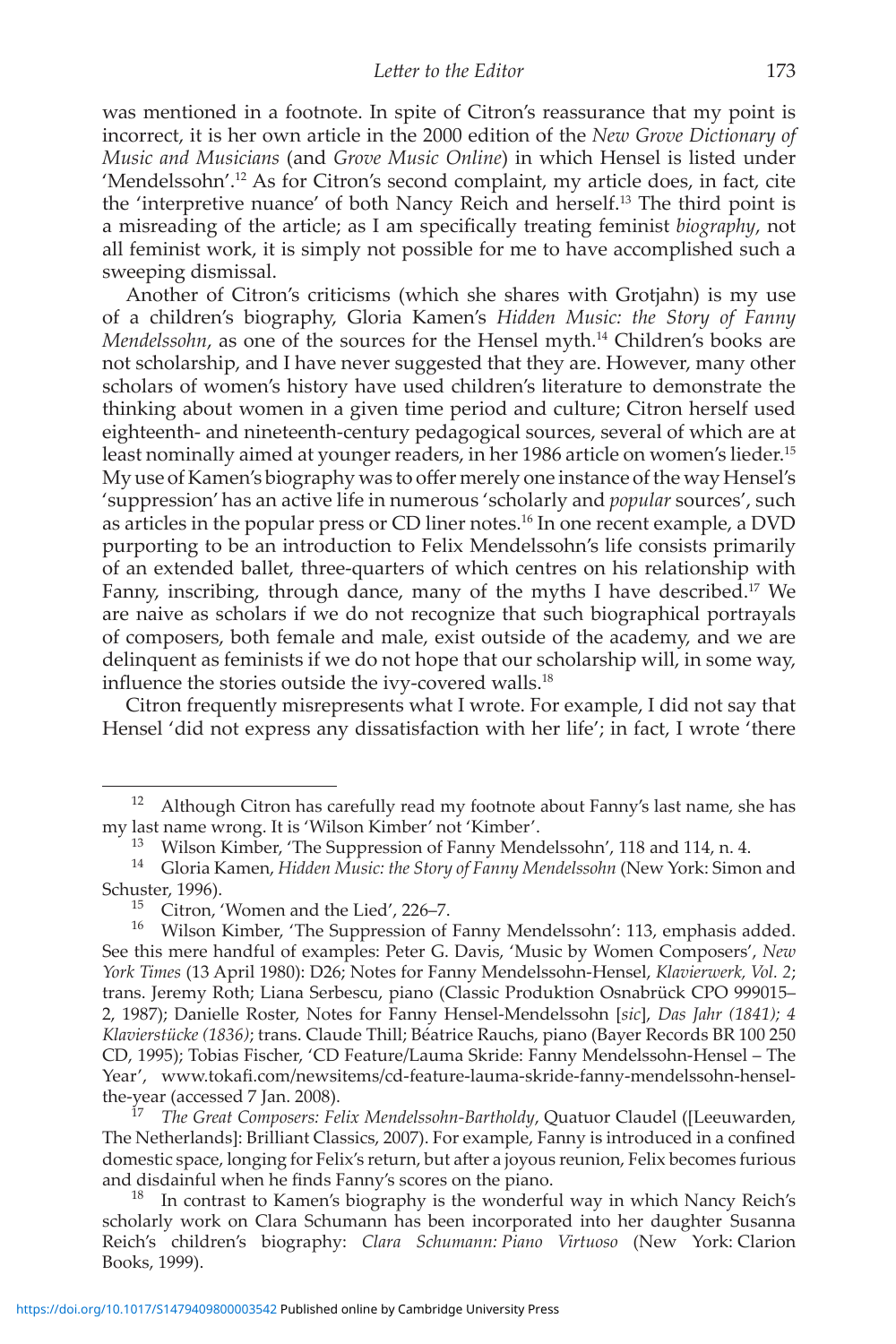was mentioned in a footnote. In spite of Citron's reassurance that my point is incorrect, it is her own article in the 2000 edition of the *New Grove Dictionary of Music and Musicians* (and *Grove Music Online*) in which Hensel is listed under 'Mendelssohn'.12 As for Citron's second complaint, my article does, in fact, cite the 'interpretive nuance' of both Nancy Reich and herself.13 The third point is a misreading of the article; as I am specifically treating feminist *biography*, not all feminist work, it is simply not possible for me to have accomplished such a sweeping dismissal.

Another of Citron's criticisms (which she shares with Grotjahn) is my use of a children's biography, Gloria Kamen's *Hidden Music: the Story of Fanny Mendelssohn*, as one of the sources for the Hensel myth.<sup>14</sup> Children's books are not scholarship, and I have never suggested that they are. However, many other scholars of women's history have used children's literature to demonstrate the thinking about women in a given time period and culture; Citron herself used eighteenth- and nineteenth-century pedagogical sources, several of which are at least nominally aimed at younger readers, in her 1986 article on women's lieder.15 My use of Kamen's biography was to offer merely one instance of the way Hensel's 'suppression' has an active life in numerous 'scholarly and *popular* sources', such as articles in the popular press or CD liner notes.16 In one recent example, a DVD purporting to be an introduction to Felix Mendelssohn's life consists primarily of an extended ballet, three-quarters of which centres on his relationship with Fanny, inscribing, through dance, many of the myths I have described.<sup>17</sup> We are naive as scholars if we do not recognize that such biographical portrayals of composers, both female and male, exist outside of the academy, and we are delinquent as feminists if we do not hope that our scholarship will, in some way, influence the stories outside the ivy-covered walls.<sup>18</sup>

Citron frequently misrepresents what I wrote. For example, I did not say that Hensel 'did not express any dissatisfaction with her life'; in fact, I wrote 'there

 $^{12}$  Although Citron has carefully read my footnote about Fanny's last name, she has my last name wrong. It is 'Wilson Kimber' not 'Kimber'.

<sup>13</sup> Wilson Kimber, 'The Suppression of Fanny Mendelssohn', 118 and 114, n. 4.

<sup>14</sup> Gloria Kamen, *Hidden Music: the Story of Fanny Mendelssohn* (New York: Simon and Schuster, 1996).

<sup>15</sup> Citron, 'Women and the Lied', 226–7.

<sup>16</sup> Wilson Kimber, 'The Suppression of Fanny Mendelssohn': 113, emphasis added. See this mere handful of examples: Peter G. Davis, 'Music by Women Composers', *New York Times* (13 April 1980): D26; Notes for Fanny Mendelssohn-Hensel, *Klavierwerk, Vol. 2*; trans. Jeremy Roth; Liana Serbescu, piano (Classic Produktion Osnabrück CPO 999015– 2, 1987); Danielle Roster, Notes for Fanny Hensel-Mendelssohn [*sic*], *Das Jahr (1841); 4 Klavierstücke (1836)*; trans. Claude Thill; Béatrice Rauchs, piano (Bayer Records BR 100 250 CD, 1995); Tobias Fischer, 'CD Feature/Lauma Skride: Fanny Mendelssohn-Hensel – The Year', www.tokafi.com/newsitems/cd-feature-lauma-skride-fanny-mendelssohn-henselthe-year (accessed 7 Jan. 2008).

<sup>17</sup> *The Great Composers: Felix Mendelssohn-Bartholdy*, Quatuor Claudel ([Leeuwarden, The Netherlands]: Brilliant Classics, 2007). For example, Fanny is introduced in a confined domestic space, longing for Felix's return, but after a joyous reunion, Felix becomes furious and disdainful when he finds Fanny's scores on the piano.

<sup>&</sup>lt;sup>18</sup> In contrast to Kamen's biography is the wonderful way in which Nancy Reich's [scholarly work on Cla](https://doi.org/10.1017/S1479409800003542)ra Schumann has been incorporated into her daughter Susanna Reich's children's biography: *Clara Schumann: Piano Virtuoso* (New York: Clarion Books, 1999).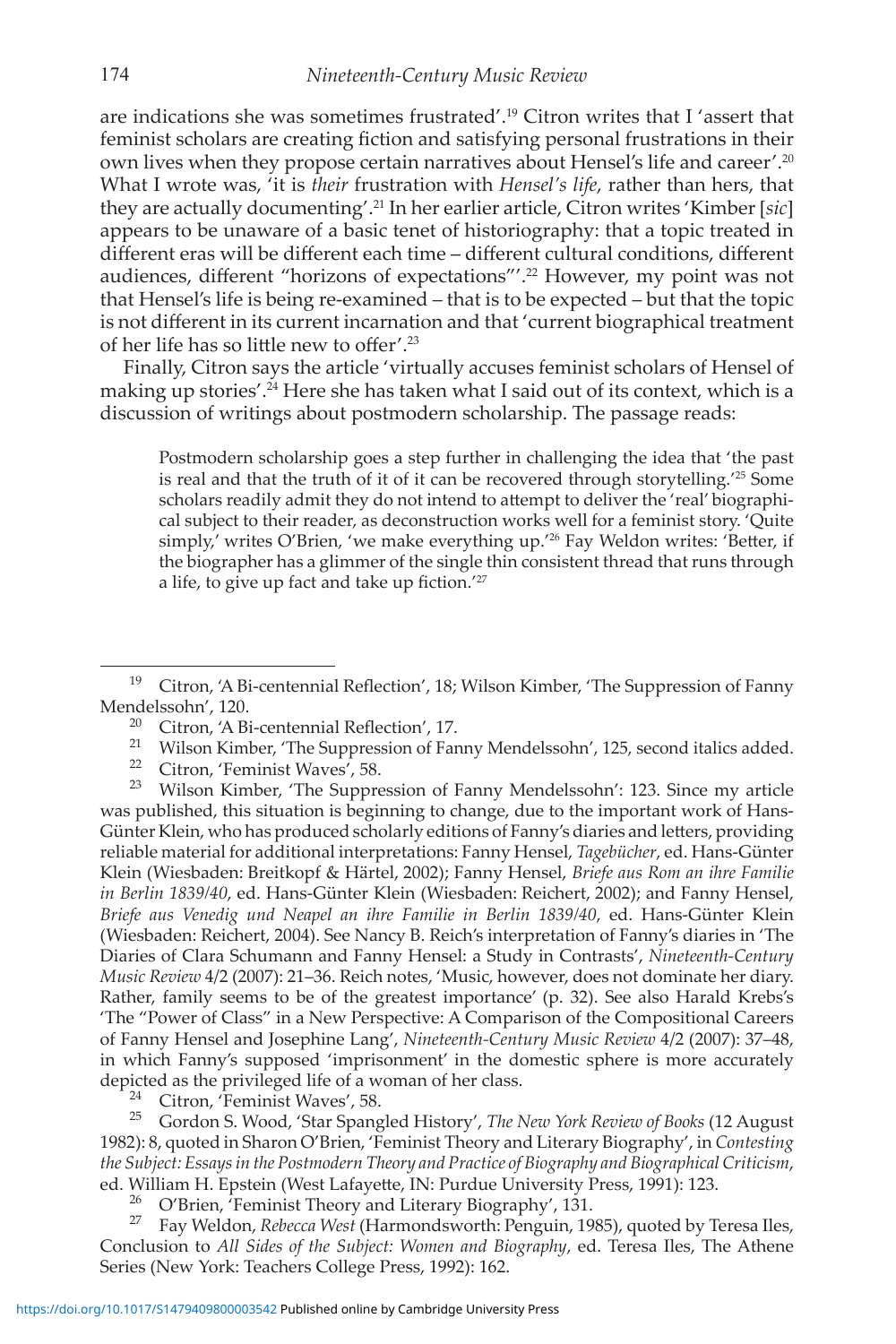## 174 *Nineteenth-Century Music Review*

are indications she was sometimes frustrated'.19 Citron writes that I 'assert that feminist scholars are creating fiction and satisfying personal frustrations in their own lives when they propose certain narratives about Hensel's life and career'.<sup>20</sup> What I wrote was, 'it is *their* frustration with *Hensel's life*, rather than hers, that they are actually documenting'.21 In her earlier article, Citron writes 'Kimber [*sic*] appears to be unaware of a basic tenet of historiography: that a topic treated in different eras will be different each time – different cultural conditions, different audiences, different "horizons of expectations"'.22 However, my point was not that Hensel's life is being re-examined – that is to be expected – but that the topic is not different in its current incarnation and that 'current biographical treatment of her life has so little new to offer'.23

Finally, Citron says the article 'virtually accuses feminist scholars of Hensel of making up stories'.24 Here she has taken what I said out of its context, which is a discussion of writings about postmodern scholarship. The passage reads:

Postmodern scholarship goes a step further in challenging the idea that 'the past is real and that the truth of it of it can be recovered through storytelling.'25 Some scholars readily admit they do not intend to attempt to deliver the 'real' biographical subject to their reader, as deconstruction works well for a feminist story. 'Quite simply,' writes O'Brien, 'we make everything up.'<sup>26</sup> Fay Weldon writes: 'Better, if the biographer has a glimmer of the single thin consistent thread that runs through a life, to give up fact and take up fiction.'27

<sup>22</sup> Citron, 'Feminist Waves', 58.

<sup>24</sup> Citron, 'Feminist Waves', 58.

<sup>25</sup> Gordon S. Wood, 'Star Spangled History', *The New York Review of Books* (12 August 1982): 8, quoted in Sharon O'Brien, 'Feminist Theory and Literary Biography', in *Contesting the Subject: Essays in the Postmodern Theory and Practice of Biography and Biographical Criticism*, ed. William H. Epstein (West Lafayette, IN: Purdue University Press, 1991): 123.

<sup>27</sup> Fay Weldon, *Rebecca West* (Harmondsworth: Penguin, 1985), quoted by Teresa Iles, Conclusion to *All Sides of the Subject: Women and Biography*, ed. Teresa Iles, The Athene Series (New York: Teachers College Press, 1992): 162.

<sup>&</sup>lt;sup>19</sup> Citron, 'A Bi-centennial Reflection', 18; Wilson Kimber, 'The Suppression of Fanny Mendelssohn', 120.

<sup>&</sup>lt;sup>20</sup> Citron, 'A Bi-centennial Reflection', 17.

Wilson Kimber, 'The Suppression of Fanny Mendelssohn', 125, second italics added.

<sup>23</sup> Wilson Kimber, 'The Suppression of Fanny Mendelssohn': 123. Since my article was published, this situation is beginning to change, due to the important work of Hans-Günter Klein, who has produced scholarly editions of Fanny's diaries and letters, providing reliable material for additional interpretations: Fanny Hensel, *Tagebücher*, ed. Hans-Günter Klein (Wiesbaden: Breitkopf & Härtel, 2002); Fanny Hensel, *Briefe aus Rom an ihre Familie in Berlin 1839/40*, ed. Hans-Günter Klein (Wiesbaden: Reichert, 2002); and Fanny Hensel, *Briefe aus Venedig und Neapel an ihre Familie in Berlin 1839/40*, ed. Hans-Günter Klein (Wiesbaden: Reichert, 2004). See Nancy B. Reich's interpretation of Fanny's diaries in 'The Diaries of Clara Schumann and Fanny Hensel: a Study in Contrasts', *Nineteenth-Century Music Review* 4/2 (2007): 21–36. Reich notes, 'Music, however, does not dominate her diary. Rather, family seems to be of the greatest importance' (p. 32). See also Harald Krebs's 'The "Power of Class" in a New Perspective: A Comparison of the Compositional Careers of Fanny Hensel and Josephine Lang', *Nineteenth-Century Music Review* 4/2 (2007): 37–48, in which Fanny's supposed 'imprisonment' in the domestic sphere is more accurately depicted as the privileged life of a woman of her class.

<sup>&</sup>lt;sup>26</sup> O'Brien, <sup>T</sup>Feminist Theory and Literary Biography', 131.<br><sup>27</sup> Fay Weldon, *Rebecca West* (Harmondsworth: Penguin, 19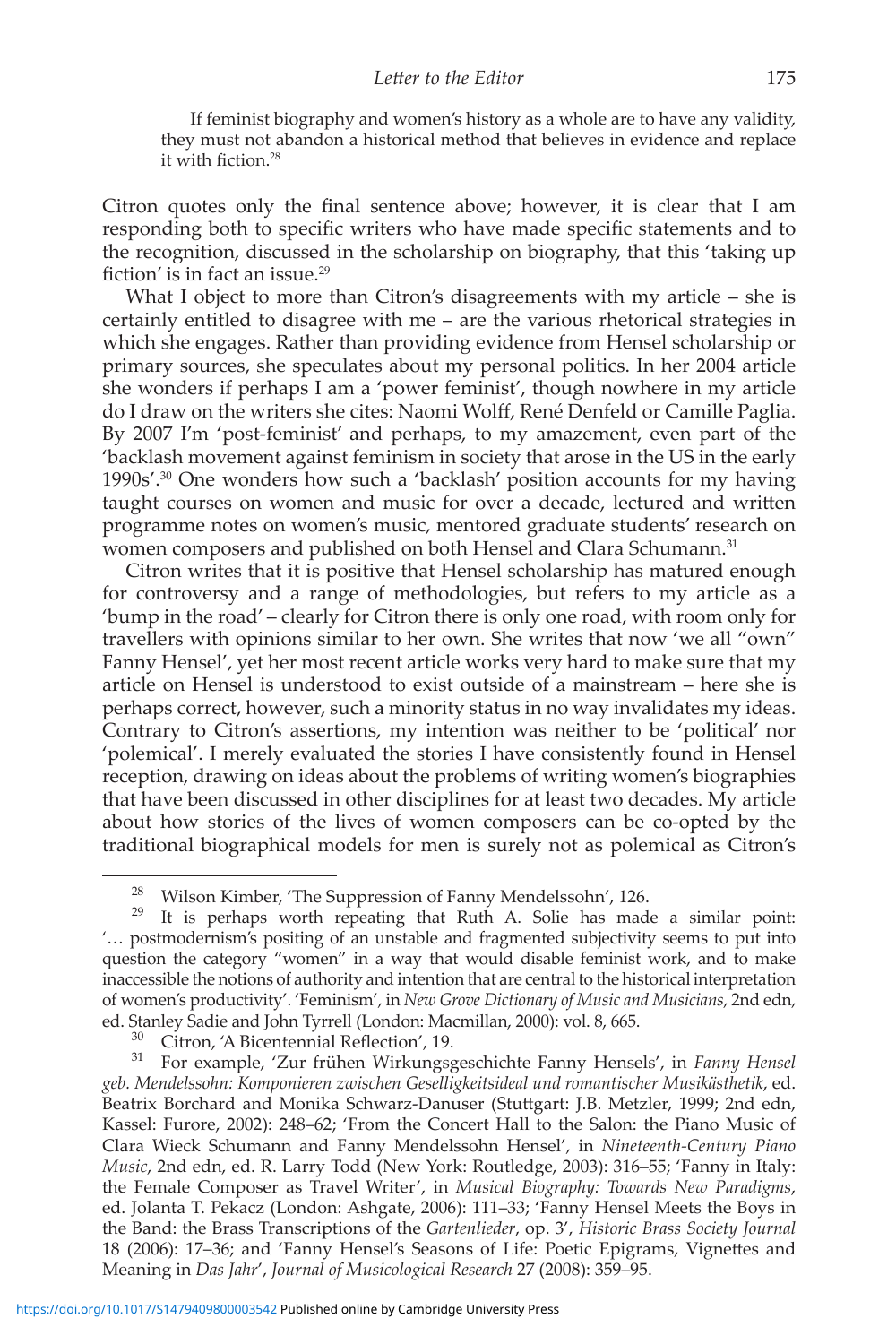If feminist biography and women's history as a whole are to have any validity, they must not abandon a historical method that believes in evidence and replace it with fiction.28

Citron quotes only the final sentence above; however, it is clear that I am responding both to specific writers who have made specific statements and to the recognition, discussed in the scholarship on biography, that this 'taking up fiction' is in fact an issue.29

What I object to more than Citron's disagreements with my article – she is certainly entitled to disagree with me – are the various rhetorical strategies in which she engages. Rather than providing evidence from Hensel scholarship or primary sources, she speculates about my personal politics. In her 2004 article she wonders if perhaps I am a 'power feminist', though nowhere in my article do I draw on the writers she cites: Naomi Wolff, René Denfeld or Camille Paglia. By 2007 I'm 'post-feminist' and perhaps, to my amazement, even part of the 'backlash movement against feminism in society that arose in the US in the early 1990s'.30 One wonders how such a 'backlash' position accounts for my having taught courses on women and music for over a decade, lectured and written programme notes on women's music, mentored graduate students' research on women composers and published on both Hensel and Clara Schumann.<sup>31</sup>

Citron writes that it is positive that Hensel scholarship has matured enough for controversy and a range of methodologies, but refers to my article as a 'bump in the road' – clearly for Citron there is only one road, with room only for travellers with opinions similar to her own. She writes that now 'we all "own" Fanny Hensel', yet her most recent article works very hard to make sure that my article on Hensel is understood to exist outside of a mainstream – here she is perhaps correct, however, such a minority status in no way invalidates my ideas. Contrary to Citron's assertions, my intention was neither to be 'political' nor 'polemical'. I merely evaluated the stories I have consistently found in Hensel reception, drawing on ideas about the problems of writing women's biographies that have been discussed in other disciplines for at least two decades. My article about how stories of the lives of women composers can be co-opted by the traditional biographical models for men is surely not as polemical as Citron's

 $30\quad$  Citron, 'A Bicentennial Reflection', 19.

<sup>&</sup>lt;sup>28</sup> Wilson Kimber, 'The Suppression of Fanny Mendelssohn', 126.<br><sup>29</sup> <sup>It</sup> is perhaps worth repeating that Buth A. Solie has made

It is perhaps worth repeating that Ruth A. Solie has made a similar point: '… postmodernism's positing of an unstable and fragmented subjectivity seems to put into question the category "women" in a way that would disable feminist work, and to make inaccessible the notions of authority and intention that are central to the historical interpretation of women's productivity'. 'Feminism', in *New Grove Dictionary of Music and Musicians*, 2nd edn, ed. Stanley Sadie and John Tyrrell (London: Macmillan, 2000): vol. 8, 665.

<sup>31</sup> For example, 'Zur frühen Wirkungsgeschichte Fanny Hensels', in *Fanny Hensel geb. Mendelssohn: Komponieren zwischen Geselligkeitsideal und romantischer Musikästhetik*, ed. Beatrix Borchard and Monika Schwarz-Danuser (Stuttgart: J.B. Metzler, 1999; 2nd edn, Kassel: Furore, 2002): 248–62; 'From the Concert Hall to the Salon: the Piano Music of Clara Wieck Schumann and Fanny Mendelssohn Hensel', in *Nineteenth-Century Piano Music*, 2nd edn, ed. R. Larry Todd (New York: Routledge, 2003): 316–55; 'Fanny in Italy: the Female Composer as Travel Writer', in *Musical Biography: Towards New Paradigms*, [ed. Jolanta T. Pekacz \(L](https://doi.org/10.1017/S1479409800003542)ondon: Ashgate, 2006): 111–33; 'Fanny Hensel Meets the Boys in the Band: the Brass Transcriptions of the *Gartenlieder*, op. 3', *Historic Brass Society Journal* 18 (2006): 17–36; and 'Fanny Hensel's Seasons of Life: Poetic Epigrams, Vignettes and Meaning in *Das Jahr*', *Journal of Musicological Research* 27 (2008): 359–95.